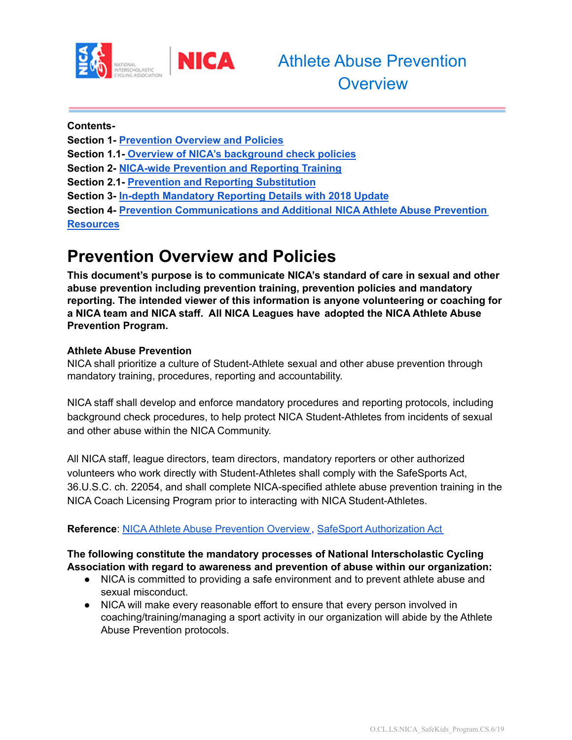

**Contents-**

**Section 1- [Prevention](#page-0-0) Overview and Policies Section 1.1- Overview of NICA's [background](#page-2-0) check policies**

**Section 2- NICA-wide [Prevention](#page-2-1) and Reporting Training**

**Section 2.1- Prevention and Reporting [Substitution](#page-2-2)**

**Section 3- In-depth [Mandatory](#page-3-0) Reporting Details with 2018 Update**

**Section 4- Prevention [Communications](#page-3-1) and Additional NICA Athlete Abuse Prevention [Resources](#page-3-1)**

### <span id="page-0-0"></span>**Prevention Overview and Policies**

**This document's purpose is to communicate NICA's standard of care in sexual and other abuse prevention including prevention training, prevention policies and mandatory reporting. The intended viewer of this information is anyone volunteering or coaching for a NICA team and NICA staff. All NICA Leagues have adopted the NICA Athlete Abuse Prevention Program.**

### **Athlete Abuse Prevention**

NICA shall prioritize a culture of Student-Athlete sexual and other abuse prevention through mandatory training, procedures, reporting and accountability.

NICA staff shall develop and enforce mandatory procedures and reporting protocols, including background check procedures, to help protect NICA Student-Athletes from incidents of sexual and other abuse within the NICA Community.

All NICA staff, league directors, team directors, mandatory reporters or other authorized volunteers who work directly with Student-Athletes shall comply with the SafeSports Act, 36.U.S.C. ch. 22054, and shall complete NICA-specified athlete abuse prevention training in the NICA Coach Licensing Program prior to interacting with NICA Student-Athletes.

### **Reference**: NICA Athlete Abuse [Prevention](https://docs.google.com/document/d/1ZjccDdcLv3zDFWbgE_4nK0m8zZywhpfb1Qqv9NBly44/edit) Overview , SafeSport [Authorization](https://uscode.house.gov/view.xhtml?req=granuleid:USC-prelim-title36-section220541&num=0&edition=prelim) Act

**The following constitute the mandatory processes of National Interscholastic Cycling Association with regard to awareness and prevention of abuse within our organization:**

- NICA is committed to providing a safe environment and to prevent athlete abuse and sexual misconduct.
- NICA will make every reasonable effort to ensure that every person involved in coaching/training/managing a sport activity in our organization will abide by the Athlete Abuse Prevention protocols.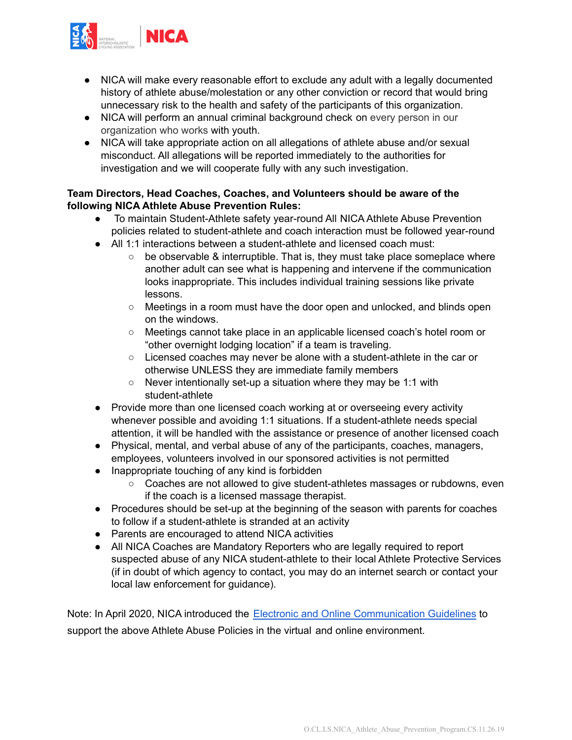

- NICA will make every reasonable effort to exclude any adult with a legally documented history of athlete abuse/molestation or any other conviction or record that would bring unnecessary risk to the health and safety of the participants of this organization.
- NICA will perform an annual criminal background check on every person in our organization who works with youth.
- NICA will take appropriate action on all allegations of athlete abuse and/or sexual misconduct. All allegations will be reported immediately to the authorities for investigation and we will cooperate fully with any such investigation.

### **Team Directors, Head Coaches, Coaches, and Volunteers should be aware of the following NICA Athlete Abuse Prevention Rules:**

- To maintain Student-Athlete safety year-round All NICA Athlete Abuse Prevention policies related to student-athlete and coach interaction must be followed year-round
- All 1:1 interactions between a student-athlete and licensed coach must:
	- $\circ$  be observable & interruptible. That is, they must take place someplace where another adult can see what is happening and intervene if the communication looks inappropriate. This includes individual training sessions like private lessons.
	- Meetings in a room must have the door open and unlocked, and blinds open on the windows.
	- Meetings cannot take place in an applicable licensed coach's hotel room or "other overnight lodging location" if a team is traveling.
	- Licensed coaches may never be alone with a student-athlete in the car or otherwise UNLESS they are immediate family members
	- Never intentionally set-up a situation where they may be 1:1 with student-athlete
- Provide more than one licensed coach working at or overseeing every activity whenever possible and avoiding 1:1 situations. If a student-athlete needs special attention, it will be handled with the assistance or presence of another licensed coach
- Physical, mental, and verbal abuse of any of the participants, coaches, managers, employees, volunteers involved in our sponsored activities is not permitted
- Inappropriate touching of any kind is forbidden
	- Coaches are not allowed to give student-athletes massages or rubdowns, even if the coach is a licensed massage therapist.
- Procedures should be set-up at the beginning of the season with parents for coaches to follow if a student-athlete is stranded at an activity
- Parents are encouraged to attend NICA activities
- All NICA Coaches are Mandatory Reporters who are legally required to report suspected abuse of any NICA student-athlete to their local Athlete Protective Services (if in doubt of which agency to contact, you may do an internet search or contact your local law enforcement for guidance).

Note: In April 2020, NICA introduced the Electronic and Online [Communication](https://docs.google.com/document/d/1nqCJUhrH_nAr_GqUZksCCsrE54jTaDOyibZHShb5xLk/edit) Guidelines to support the above Athlete Abuse Policies in the virtual and online environment.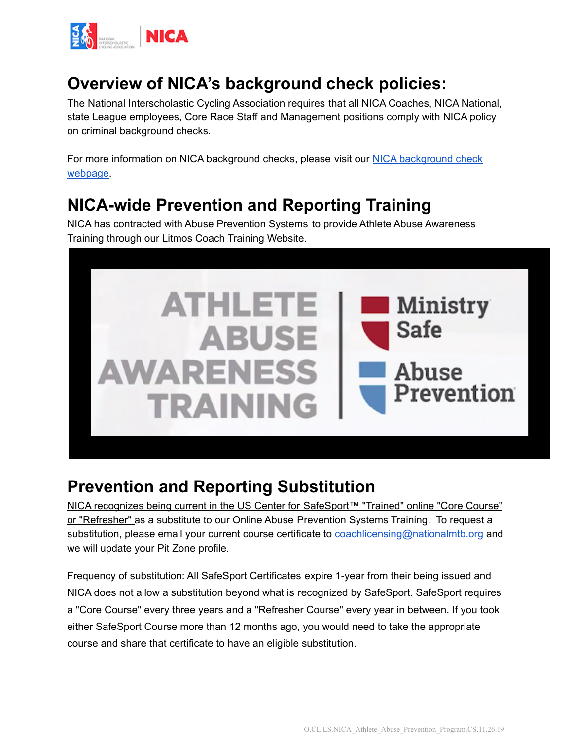

## <span id="page-2-0"></span>**Overview of NICA's background check policies:**

The National Interscholastic Cycling Association requires that all NICA Coaches, NICA National, state League employees, Core Race Staff and Management positions comply with NICA policy on criminal background checks.

For more information on NICA [background](https://www.nationalmtb.org/background-check/) checks, please visit our NICA background check [webpage.](https://www.nationalmtb.org/background-check/)

# <span id="page-2-1"></span>**NICA-wide Prevention and Reporting Training**

NICA has contracted with Abuse Prevention Systems to provide Athlete Abuse Awareness Training through our Litmos Coach Training Website.



## <span id="page-2-2"></span>**Prevention and Reporting Substitution**

NICA recognizes being current in the US Center for SafeSport™ "Trained" online "Core Course" or "Refresher" as a substitute to our Online Abuse Prevention Systems Training. To request a substitution, please email your current course certificate to coachlicensing@nationalmtb.org and we will update your Pit Zone profile.

Frequency of substitution: All SafeSport Certificates expire 1-year from their being issued and NICA does not allow a substitution beyond what is recognized by SafeSport. SafeSport requires a "Core Course" every three years and a "Refresher Course" every year in between. If you took either SafeSport Course more than 12 months ago, you would need to take the appropriate course and share that certificate to have an eligible substitution.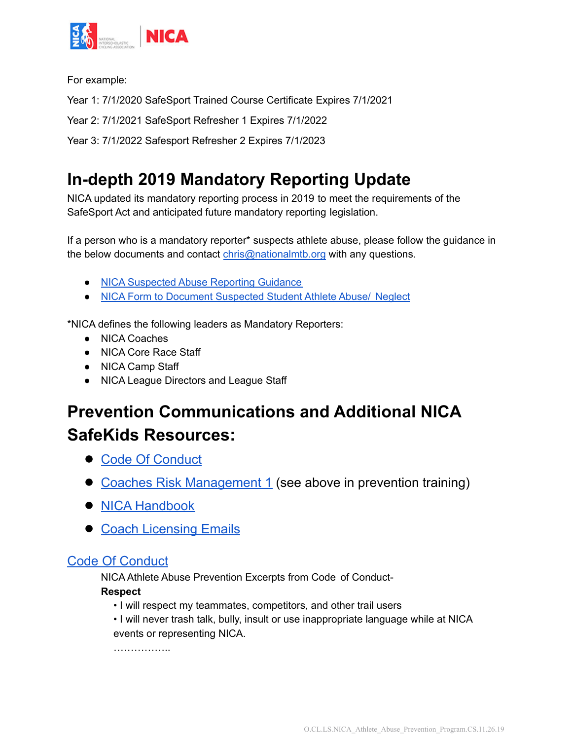

For example:

Year 1: 7/1/2020 SafeSport Trained Course Certificate Expires 7/1/2021

Year 2: 7/1/2021 SafeSport Refresher 1 Expires 7/1/2022

Year 3: 7/1/2022 Safesport Refresher 2 Expires 7/1/2023

# <span id="page-3-0"></span>**In-depth 2019 Mandatory Reporting Update**

NICA updated its mandatory reporting process in 2019 to meet the requirements of the SafeSport Act and anticipated future mandatory reporting legislation.

If a person who is a mandatory reporter\* suspects athlete abuse, please follow the guidance in the below documents and contact [chris@nationalmtb.org](mailto:chris@nationalmtb.org) with any questions.

- NICA [Suspected](https://drive.google.com/open?id=1E-zhuYGh03WyWUlVGKRqoq2UCVZIBhrN) Abuse Reporting Guidance
- NICA Form to Document [Suspected](https://docs.google.com/document/d/1L9T71pHqL97lBe5HlDdGgzDe5pv0mVGmr8mkp-C6Bag/edit?usp=sharing) Student Athlete Abuse/ Neglect

\*NICA defines the following leaders as Mandatory Reporters:

- NICA Coaches
- NICA Core Race Staff
- NICA Camp Staff
- NICA League Directors and League Staff

# <span id="page-3-1"></span>**Prevention Communications and Additional NICA SafeKids Resources:**

- **●** Code Of [Conduct](https://drive.google.com/open?id=1CiIF0EI2hAIBYhIxVExYBoxzvMeSPgBRZunKd7J_gaM)
- **●** Coaches Risk [Management](#page-2-1) 1 (see above in prevention training)
- **●** NICA [Handbook](https://www.nationalmtb.org/blog/wp-content/uploads/NICA-Handbook.pdf)
- **●** Coach [Licensing](#page-5-0) Emails

### Code Of [Conduct](https://drive.google.com/open?id=1CiIF0EI2hAIBYhIxVExYBoxzvMeSPgBRZunKd7J_gaM)

NICA Athlete Abuse Prevention Excerpts from Code of Conduct-

### **Respect**

- I will respect my teammates, competitors, and other trail users
- I will never trash talk, bully, insult or use inappropriate language while at NICA events or representing NICA.

………………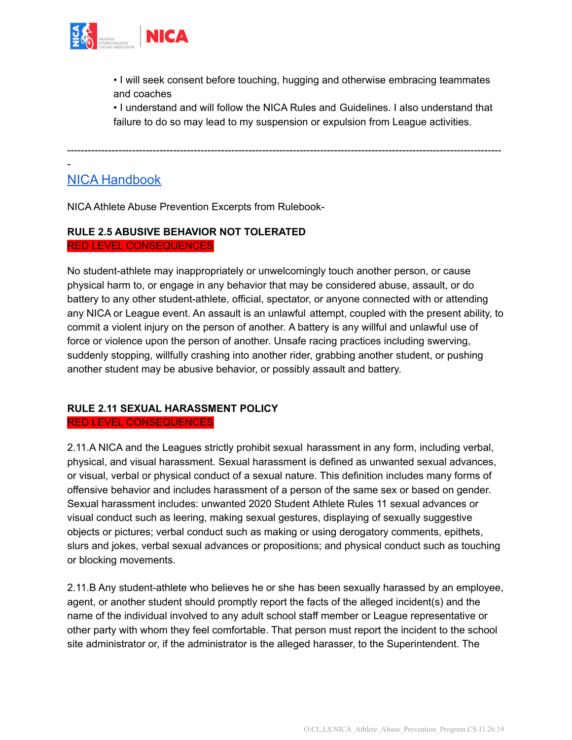

• I will seek consent before touching, hugging and otherwise embracing teammates and coaches

• I understand and will follow the NICA Rules and Guidelines. I also understand that failure to do so may lead to my suspension or expulsion from League activities.

-------------------------------------------------------------------------------------------------------------------------------

NICA [Handbook](https://www.nationalmtb.org/blog/wp-content/uploads/NICA-Handbook.pdf)

-

NICA Athlete Abuse Prevention Excerpts from Rulebook-

### **RULE 2.5 ABUSIVE BEHAVIOR NOT TOLERATED** RED LEVEL CONSEQUENCES

No student-athlete may inappropriately or unwelcomingly touch another person, or cause physical harm to, or engage in any behavior that may be considered abuse, assault, or do battery to any other student-athlete, official, spectator, or anyone connected with or attending any NICA or League event. An assault is an unlawful attempt, coupled with the present ability, to commit a violent injury on the person of another. A battery is any willful and unlawful use of force or violence upon the person of another. Unsafe racing practices including swerving, suddenly stopping, willfully crashing into another rider, grabbing another student, or pushing another student may be abusive behavior, or possibly assault and battery.

#### **RULE 2.11 SEXUAL HARASSMENT POLICY** RED LEVEL CONSEQUENCES

2.11.A NICA and the Leagues strictly prohibit sexual harassment in any form, including verbal, physical, and visual harassment. Sexual harassment is defined as unwanted sexual advances, or visual, verbal or physical conduct of a sexual nature. This definition includes many forms of offensive behavior and includes harassment of a person of the same sex or based on gender. Sexual harassment includes: unwanted 2020 Student Athlete Rules 11 sexual advances or visual conduct such as leering, making sexual gestures, displaying of sexually suggestive objects or pictures; verbal conduct such as making or using derogatory comments, epithets, slurs and jokes, verbal sexual advances or propositions; and physical conduct such as touching or blocking movements.

2.11.B Any student-athlete who believes he or she has been sexually harassed by an employee, agent, or another student should promptly report the facts of the alleged incident(s) and the name of the individual involved to any adult school staff member or League representative or other party with whom they feel comfortable. That person must report the incident to the school site administrator or, if the administrator is the alleged harasser, to the Superintendent. The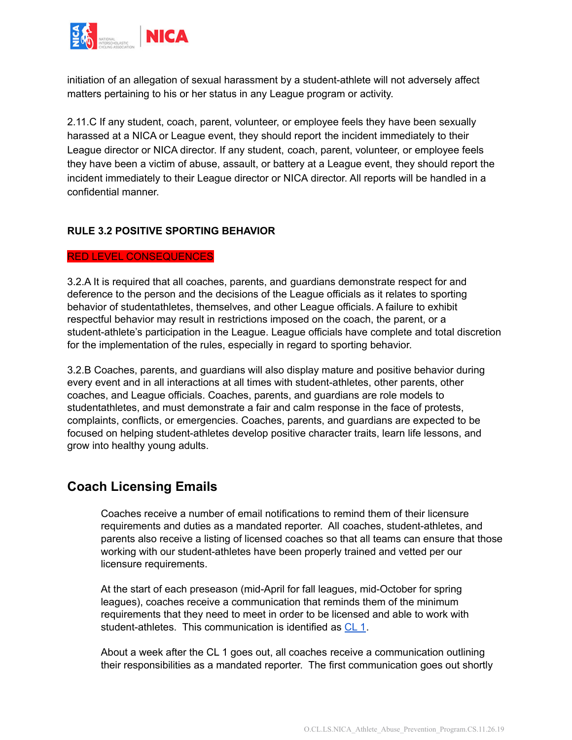

initiation of an allegation of sexual harassment by a student-athlete will not adversely affect matters pertaining to his or her status in any League program or activity.

2.11.C If any student, coach, parent, volunteer, or employee feels they have been sexually harassed at a NICA or League event, they should report the incident immediately to their League director or NICA director. If any student, coach, parent, volunteer, or employee feels they have been a victim of abuse, assault, or battery at a League event, they should report the incident immediately to their League director or NICA director. All reports will be handled in a confidential manner.

#### **RULE 3.2 POSITIVE SPORTING BEHAVIOR**

#### RED LEVEL CONSEQUENCES

3.2.A It is required that all coaches, parents, and guardians demonstrate respect for and deference to the person and the decisions of the League officials as it relates to sporting behavior of studentathletes, themselves, and other League officials. A failure to exhibit respectful behavior may result in restrictions imposed on the coach, the parent, or a student-athlete's participation in the League. League officials have complete and total discretion for the implementation of the rules, especially in regard to sporting behavior.

3.2.B Coaches, parents, and guardians will also display mature and positive behavior during every event and in all interactions at all times with student-athletes, other parents, other coaches, and League officials. Coaches, parents, and guardians are role models to studentathletes, and must demonstrate a fair and calm response in the face of protests, complaints, conflicts, or emergencies. Coaches, parents, and guardians are expected to be focused on helping student-athletes develop positive character traits, learn life lessons, and grow into healthy young adults.

### <span id="page-5-0"></span>**Coach Licensing Emails**

Coaches receive a number of email notifications to remind them of their licensure requirements and duties as a mandated reporter. All coaches, student-athletes, and parents also receive a listing of licensed coaches so that all teams can ensure that those working with our student-athletes have been properly trained and vetted per our licensure requirements.

At the start of each preseason (mid-April for fall leagues, mid-October for spring leagues), coaches receive a communication that reminds them of the minimum requirements that they need to meet in order to be licensed and able to work with student-athletes. This communication is identified as [CL](https://docs.google.com/document/d/1k7VovetlZ-2xNPrkqRKU1Q2z3xGYAuPWYrJmCzyptSI/edit?usp=sharing) 1.

About a week after the CL 1 goes out, all coaches receive a communication outlining their responsibilities as a mandated reporter. The first communication goes out shortly